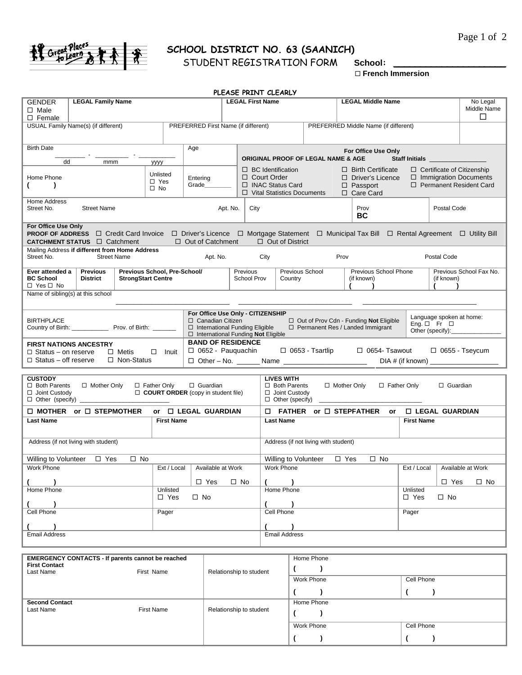



## **SCHOOL DISTRICT NO. 63 (SAANICH)**

 **French Immersion**

|                                                              |                                                                                                                                                                       |                                                           |                                                                                                                                                      |                         | PLEASE PRINT CLEARLY                                                             |         |                                      |                                                                                                                                                                                                                                      |                        |                                                                                 |                                   |
|--------------------------------------------------------------|-----------------------------------------------------------------------------------------------------------------------------------------------------------------------|-----------------------------------------------------------|------------------------------------------------------------------------------------------------------------------------------------------------------|-------------------------|----------------------------------------------------------------------------------|---------|--------------------------------------|--------------------------------------------------------------------------------------------------------------------------------------------------------------------------------------------------------------------------------------|------------------------|---------------------------------------------------------------------------------|-----------------------------------|
| <b>GENDER</b><br>$\Box$ Male<br>$\square$ Female             | <b>LEGAL Family Name</b>                                                                                                                                              |                                                           |                                                                                                                                                      |                         | <b>LEGAL First Name</b>                                                          |         |                                      | <b>LEGAL Middle Name</b>                                                                                                                                                                                                             |                        |                                                                                 | No Legal<br>Middle Name<br>□      |
|                                                              | USUAL Family Name(s) (if different)                                                                                                                                   |                                                           | PREFERRED First Name (if different)                                                                                                                  |                         |                                                                                  |         |                                      | PREFERRED Middle Name (if different)                                                                                                                                                                                                 |                        |                                                                                 |                                   |
|                                                              |                                                                                                                                                                       |                                                           |                                                                                                                                                      |                         |                                                                                  |         |                                      |                                                                                                                                                                                                                                      |                        |                                                                                 |                                   |
| <b>Birth Date</b>                                            |                                                                                                                                                                       |                                                           | Age                                                                                                                                                  |                         | <b>ORIGINAL PROOF OF LEGAL NAME &amp; AGE</b>                                    |         |                                      | For Office Use Only                                                                                                                                                                                                                  |                        |                                                                                 |                                   |
| dd                                                           | mmm                                                                                                                                                                   | уууу                                                      |                                                                                                                                                      |                         | $\Box$ BC Identification                                                         |         |                                      | $\Box$ Birth Certificate                                                                                                                                                                                                             |                        |                                                                                 | $\Box$ Certificate of Citizenship |
| Home Phone<br>€<br>$\lambda$                                 |                                                                                                                                                                       | Unlisted<br>$\Box$ Yes<br>$\square$ No                    | Entering<br>Grade                                                                                                                                    |                         | $\Box$ Court Order<br>□ INAC Status Card<br>□ Vital Statistics Documents         |         |                                      | $\Box$ Driver's Licence<br>$\Box$ Passport<br>□ Care Card                                                                                                                                                                            |                        | $\Box$ Immigration Documents<br>□ Permanent Resident Card                       |                                   |
| Home Address<br>Street No.<br><b>Street Name</b>             |                                                                                                                                                                       | Apt. No.                                                  |                                                                                                                                                      | City                    |                                                                                  |         | Prov<br>BC                           |                                                                                                                                                                                                                                      | Postal Code            |                                                                                 |                                   |
| For Office Use Only                                          | PROOF OF ADDRESS □ Credit Card Invoice □ Driver's Licence □ Mortgage Statement □ Municipal Tax Bill □ Rental Agreement □ Utility Bill<br>CATCHMENT STATUS □ Catchment |                                                           | $\Box$ Out of Catchment                                                                                                                              |                         | $\Box$ Out of District                                                           |         |                                      |                                                                                                                                                                                                                                      |                        |                                                                                 |                                   |
| Street No.                                                   | Mailing Address if different from Home Address<br><b>Street Name</b>                                                                                                  |                                                           | Apt. No.                                                                                                                                             |                         | City                                                                             |         |                                      | Prov                                                                                                                                                                                                                                 |                        | Postal Code                                                                     |                                   |
| Ever attended a<br><b>BC School</b><br>$\Box$ Yes $\Box$ No  | <b>Previous</b><br><b>District</b>                                                                                                                                    | Previous School, Pre-School/<br><b>StrongStart Centre</b> |                                                                                                                                                      |                         | Previous<br>School Prov                                                          | Country | Previous School                      | Previous School Phone<br>(if known)                                                                                                                                                                                                  |                        | (if known)                                                                      | Previous School Fax No.           |
| Name of sibling(s) at this school                            |                                                                                                                                                                       |                                                           |                                                                                                                                                      |                         |                                                                                  |         |                                      |                                                                                                                                                                                                                                      |                        |                                                                                 |                                   |
| <b>BIRTHPLACE</b>                                            | Country of Birth: Prov. of Birth: ______                                                                                                                              |                                                           | For Office Use Only - CITIZENSHIP<br>$\Box$ Canadian Citizen<br>□ International Funding Eligible<br>$\Box$ International Funding <b>Not</b> Eligible |                         |                                                                                  |         |                                      | □ Out of Prov Cdn - Funding Not Eligible<br>□ Permanent Res / Landed Immigrant                                                                                                                                                       |                        | Language spoken at home:<br>Eng. $\Box$ Fr $\Box$<br>Other (specify):__________ |                                   |
| <b>FIRST NATIONS ANCESTRY</b><br>$\Box$ Status – off reserve | $\Box$ Status – on reserve $\Box$ Metis<br>□ Non-Status                                                                                                               | $\Box$ Inuit                                              | <b>BAND OF RESIDENCE</b><br>$\Box$ 0652 - Pauguachin                                                                                                 |                         |                                                                                  |         | $\Box$ 0653 - Tsartlip               | $\Box$ 0654- Tsawout                                                                                                                                                                                                                 |                        |                                                                                 | $\Box$ 0655 - Tseycum             |
|                                                              |                                                                                                                                                                       |                                                           |                                                                                                                                                      |                         |                                                                                  |         |                                      |                                                                                                                                                                                                                                      |                        |                                                                                 |                                   |
| <b>CUSTODY</b><br>□ Both Parents<br>$\Box$ Joint Custody     | □ Mother Only                                                                                                                                                         | □ Father Only                                             | $\Box$ Guardian<br><b>COURT ORDER</b> (copy in student file)                                                                                         |                         | <b>LIVES WITH</b><br>□ Both Parents<br>□ Joint Custody<br>$\Box$ Other (specify) |         |                                      | □ Mother Only                                                                                                                                                                                                                        | □ Father Only          | □ Guardian                                                                      |                                   |
|                                                              | $\Box$ MOTHER or $\Box$ STEPMOTHER                                                                                                                                    |                                                           | or □ LEGAL GUARDIAN                                                                                                                                  |                         |                                                                                  |         |                                      | $\Box$ FATHER or $\Box$ STEPFATHER or $\Box$ LEGAL GUARDIAN                                                                                                                                                                          |                        |                                                                                 |                                   |
| <b>Last Name</b>                                             |                                                                                                                                                                       | <b>First Name</b>                                         |                                                                                                                                                      |                         | <b>Last Name</b>                                                                 |         |                                      |                                                                                                                                                                                                                                      | <b>First Name</b>      |                                                                                 |                                   |
|                                                              | Address (if not living with student)                                                                                                                                  |                                                           |                                                                                                                                                      |                         |                                                                                  |         | Address (if not living with student) |                                                                                                                                                                                                                                      |                        |                                                                                 |                                   |
|                                                              | $\square$ No<br>Willing to Volunteer □ Yes                                                                                                                            |                                                           |                                                                                                                                                      |                         |                                                                                  |         | Willing to Volunteer $\Box$ Yes      | $\square$ No                                                                                                                                                                                                                         |                        |                                                                                 |                                   |
|                                                              | Work Phone <b>Work Show</b>                                                                                                                                           |                                                           | Ext / Local   Available at Work                                                                                                                      |                         |                                                                                  |         |                                      | Work Phone <b>With Contact Contact Contact Contact Contact Contact Contact Contact Contact Contact Contact Contact Contact Contact Contact Contact Contact Contact Contact Contact Contact Contact Contact Contact Contact Conta</b> |                        |                                                                                 | Ext / Local   Available at Work   |
|                                                              |                                                                                                                                                                       |                                                           | $\Box$ Yes                                                                                                                                           | $\square$ No            | $($ $)$                                                                          |         |                                      |                                                                                                                                                                                                                                      |                        | $\square$ Yes                                                                   | $\Box$ No                         |
| Home Phone                                                   |                                                                                                                                                                       | Unlisted<br>□ Yes                                         | $\square$ No                                                                                                                                         |                         | Home Phone                                                                       |         |                                      |                                                                                                                                                                                                                                      | Unlisted<br>$\Box$ Yes | $\square$ No                                                                    |                                   |
| Cell Phone<br>Pager                                          |                                                                                                                                                                       |                                                           |                                                                                                                                                      | Cell Phone              |                                                                                  |         |                                      | Pager                                                                                                                                                                                                                                |                        |                                                                                 |                                   |
| $($ $)$                                                      |                                                                                                                                                                       |                                                           |                                                                                                                                                      | $($ )                   |                                                                                  |         |                                      |                                                                                                                                                                                                                                      |                        |                                                                                 |                                   |
| <b>Email Address</b>                                         |                                                                                                                                                                       |                                                           |                                                                                                                                                      |                         | <b>Email Address</b>                                                             |         |                                      |                                                                                                                                                                                                                                      |                        |                                                                                 |                                   |
|                                                              | <b>EMERGENCY CONTACTS - If parents cannot be reached</b>                                                                                                              |                                                           |                                                                                                                                                      |                         |                                                                                  |         | Home Phone                           |                                                                                                                                                                                                                                      |                        |                                                                                 |                                   |
| <b>First Contact</b><br>Last Name                            |                                                                                                                                                                       | First Name                                                |                                                                                                                                                      |                         | $($ )<br>Relationship to student                                                 |         |                                      |                                                                                                                                                                                                                                      |                        |                                                                                 |                                   |
|                                                              |                                                                                                                                                                       |                                                           |                                                                                                                                                      |                         |                                                                                  |         | Work Phone                           |                                                                                                                                                                                                                                      | Cell Phone             |                                                                                 |                                   |
|                                                              |                                                                                                                                                                       |                                                           |                                                                                                                                                      |                         |                                                                                  |         | $($ )                                |                                                                                                                                                                                                                                      | $\overline{ }$         | $\lambda$                                                                       |                                   |
| <b>Second Contact</b><br>Last Name                           |                                                                                                                                                                       | <b>First Name</b>                                         |                                                                                                                                                      | Relationship to student |                                                                                  |         | Home Phone<br>(                      |                                                                                                                                                                                                                                      |                        |                                                                                 |                                   |
|                                                              |                                                                                                                                                                       |                                                           |                                                                                                                                                      |                         |                                                                                  |         | Work Phone                           |                                                                                                                                                                                                                                      | Cell Phone             |                                                                                 |                                   |
|                                                              |                                                                                                                                                                       |                                                           |                                                                                                                                                      |                         |                                                                                  |         | $($ )                                |                                                                                                                                                                                                                                      | $($ $)$                |                                                                                 |                                   |